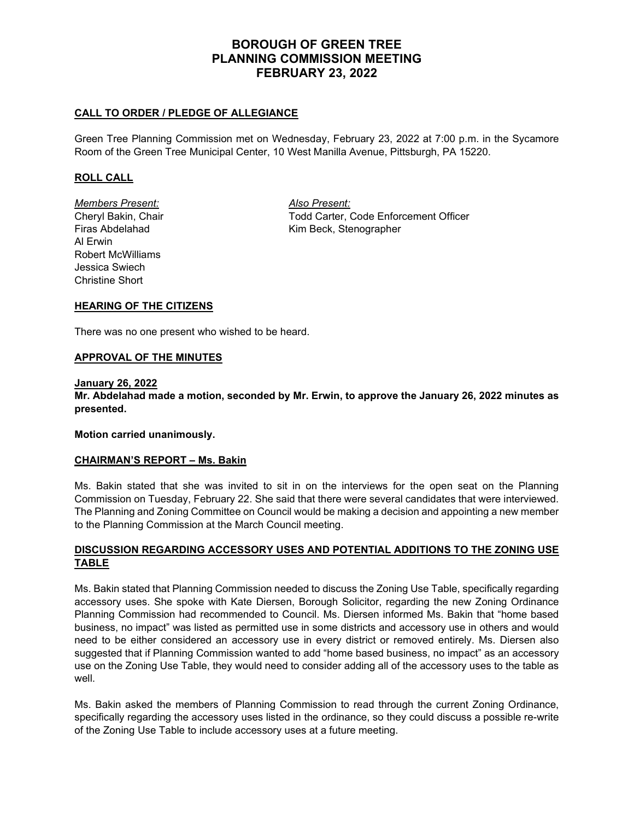# **BOROUGH OF GREEN TREE PLANNING COMMISSION MEETING FEBRUARY 23, 2022**

### **CALL TO ORDER / PLEDGE OF ALLEGIANCE**

Green Tree Planning Commission met on Wednesday, February 23, 2022 at 7:00 p.m. in the Sycamore Room of the Green Tree Municipal Center, 10 West Manilla Avenue, Pittsburgh, PA 15220.

### **ROLL CALL**

*Members Present: Also Present:* Al Erwin Robert McWilliams Jessica Swiech Christine Short

Cheryl Bakin, Chair Todd Carter, Code Enforcement Officer Firas Abdelahad Kim Beck, Stenographer

### **HEARING OF THE CITIZENS**

There was no one present who wished to be heard.

#### **APPROVAL OF THE MINUTES**

#### **January 26, 2022**

**Mr. Abdelahad made a motion, seconded by Mr. Erwin, to approve the January 26, 2022 minutes as presented.**

**Motion carried unanimously.**

#### **CHAIRMAN'S REPORT – Ms. Bakin**

Ms. Bakin stated that she was invited to sit in on the interviews for the open seat on the Planning Commission on Tuesday, February 22. She said that there were several candidates that were interviewed. The Planning and Zoning Committee on Council would be making a decision and appointing a new member to the Planning Commission at the March Council meeting.

### **DISCUSSION REGARDING ACCESSORY USES AND POTENTIAL ADDITIONS TO THE ZONING USE TABLE**

Ms. Bakin stated that Planning Commission needed to discuss the Zoning Use Table, specifically regarding accessory uses. She spoke with Kate Diersen, Borough Solicitor, regarding the new Zoning Ordinance Planning Commission had recommended to Council. Ms. Diersen informed Ms. Bakin that "home based business, no impact" was listed as permitted use in some districts and accessory use in others and would need to be either considered an accessory use in every district or removed entirely. Ms. Diersen also suggested that if Planning Commission wanted to add "home based business, no impact" as an accessory use on the Zoning Use Table, they would need to consider adding all of the accessory uses to the table as well.

Ms. Bakin asked the members of Planning Commission to read through the current Zoning Ordinance, specifically regarding the accessory uses listed in the ordinance, so they could discuss a possible re-write of the Zoning Use Table to include accessory uses at a future meeting.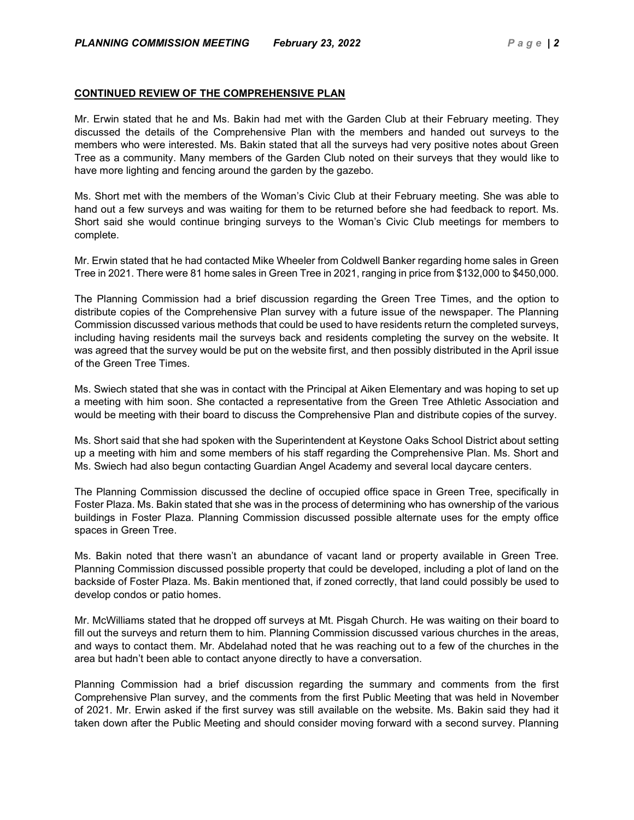### **CONTINUED REVIEW OF THE COMPREHENSIVE PLAN**

Mr. Erwin stated that he and Ms. Bakin had met with the Garden Club at their February meeting. They discussed the details of the Comprehensive Plan with the members and handed out surveys to the members who were interested. Ms. Bakin stated that all the surveys had very positive notes about Green Tree as a community. Many members of the Garden Club noted on their surveys that they would like to have more lighting and fencing around the garden by the gazebo.

Ms. Short met with the members of the Woman's Civic Club at their February meeting. She was able to hand out a few surveys and was waiting for them to be returned before she had feedback to report. Ms. Short said she would continue bringing surveys to the Woman's Civic Club meetings for members to complete.

Mr. Erwin stated that he had contacted Mike Wheeler from Coldwell Banker regarding home sales in Green Tree in 2021. There were 81 home sales in Green Tree in 2021, ranging in price from \$132,000 to \$450,000.

The Planning Commission had a brief discussion regarding the Green Tree Times, and the option to distribute copies of the Comprehensive Plan survey with a future issue of the newspaper. The Planning Commission discussed various methods that could be used to have residents return the completed surveys, including having residents mail the surveys back and residents completing the survey on the website. It was agreed that the survey would be put on the website first, and then possibly distributed in the April issue of the Green Tree Times.

Ms. Swiech stated that she was in contact with the Principal at Aiken Elementary and was hoping to set up a meeting with him soon. She contacted a representative from the Green Tree Athletic Association and would be meeting with their board to discuss the Comprehensive Plan and distribute copies of the survey.

Ms. Short said that she had spoken with the Superintendent at Keystone Oaks School District about setting up a meeting with him and some members of his staff regarding the Comprehensive Plan. Ms. Short and Ms. Swiech had also begun contacting Guardian Angel Academy and several local daycare centers.

The Planning Commission discussed the decline of occupied office space in Green Tree, specifically in Foster Plaza. Ms. Bakin stated that she was in the process of determining who has ownership of the various buildings in Foster Plaza. Planning Commission discussed possible alternate uses for the empty office spaces in Green Tree.

Ms. Bakin noted that there wasn't an abundance of vacant land or property available in Green Tree. Planning Commission discussed possible property that could be developed, including a plot of land on the backside of Foster Plaza. Ms. Bakin mentioned that, if zoned correctly, that land could possibly be used to develop condos or patio homes.

Mr. McWilliams stated that he dropped off surveys at Mt. Pisgah Church. He was waiting on their board to fill out the surveys and return them to him. Planning Commission discussed various churches in the areas, and ways to contact them. Mr. Abdelahad noted that he was reaching out to a few of the churches in the area but hadn't been able to contact anyone directly to have a conversation.

Planning Commission had a brief discussion regarding the summary and comments from the first Comprehensive Plan survey, and the comments from the first Public Meeting that was held in November of 2021. Mr. Erwin asked if the first survey was still available on the website. Ms. Bakin said they had it taken down after the Public Meeting and should consider moving forward with a second survey. Planning